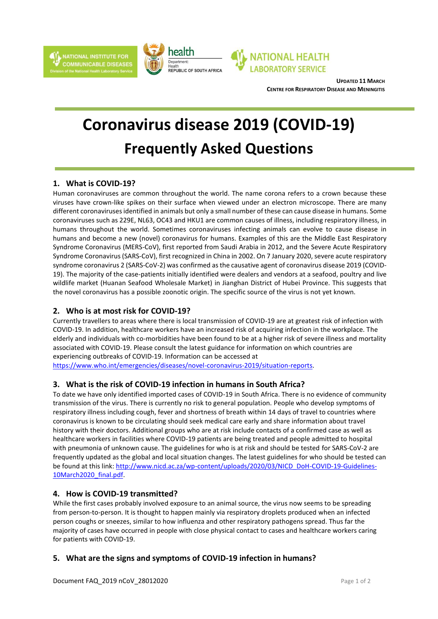



**UPDATED 11 MARCH CENTRE FOR RESPIRATORY DISEASE AND MENINGITIS**

# **Coronavirus disease 2019 (COVID-19) Frequently Asked Questions**

# **1. What is COVID-19?**

Human coronaviruses are common throughout the world. The name corona refers to a crown because these viruses have crown-like spikes on their surface when viewed under an electron microscope. There are many different coronavirusesidentified in animals but only a small number of these can cause disease in humans. Some coronaviruses such as 229E, NL63, OC43 and HKU1 are common causes of illness, including respiratory illness, in humans throughout the world. Sometimes coronaviruses infecting animals can evolve to cause disease in humans and become a new (novel) coronavirus for humans. Examples of this are the Middle East Respiratory Syndrome Coronavirus (MERS-CoV), first reported from Saudi Arabia in 2012, and the Severe Acute Respiratory Syndrome Coronavirus(SARS-CoV), first recognized in China in 2002. On 7 January 2020, severe acute respiratory syndrome coronavirus 2 (SARS-CoV-2) was confirmed asthe causative agent of coronavirus disease 2019 (COVID-19). The majority of the case-patients initially identified were dealers and vendors at a seafood, poultry and live wildlife market (Huanan Seafood Wholesale Market) in Jianghan District of Hubei Province. This suggests that the novel coronavirus has a possible zoonotic origin. The specific source of the virus is not yet known.

# **2. Who is at most risk for COVID-19?**

Currently travellers to areas where there is local transmission of COVID-19 are at greatest risk of infection with COVID-19. In addition, healthcare workers have an increased risk of acquiring infection in the workplace. The elderly and individuals with co-morbidities have been found to be at a higher risk of severe illness and mortality associated with COVID-19. Please consult the latest guidance for information on which countries are experiencing outbreaks of COVID-19. Information can be accessed at [https://www.who.int/emergencies/diseases/novel-coronavirus-2019/situation-reports.](https://www.who.int/emergencies/diseases/novel-coronavirus-2019/situation-reports)

### **3. What is the risk of COVID-19 infection in humans in South Africa?**

To date we have only identified imported cases of COVID-19 in South Africa. There is no evidence of community transmission of the virus. There is currently no risk to general population. People who develop symptoms of respiratory illness including cough, fever and shortness of breath within 14 days of travel to countries where coronavirus is known to be circulating should seek medical care early and share information about travel history with their doctors. Additional groups who are at risk include contacts of a confirmed case as well as healthcare workers in facilities where COVID-19 patients are being treated and people admitted to hospital with pneumonia of unknown cause. The guidelines for who is at risk and should be tested for SARS-CoV-2 are frequently updated as the global and local situation changes. The latest guidelines for who should be tested can be found at this link[: http://www.nicd.ac.za/wp-content/uploads/2020/03/NICD\\_DoH-COVID-19-Guidelines-](http://www.nicd.ac.za/wp-content/uploads/2020/03/NICD_DoH-COVID-19-Guidelines-10March2020_final.pdf)[10March2020\\_final.pdf.](http://www.nicd.ac.za/wp-content/uploads/2020/03/NICD_DoH-COVID-19-Guidelines-10March2020_final.pdf)

### **4. How is COVID-19 transmitted?**

While the first cases probably involved exposure to an animal source, the virus now seems to be spreading from person-to-person. It is thought to happen mainly via respiratory droplets produced when an infected person coughs or sneezes, similar to how influenza and other respiratory pathogens spread. Thus far the majority of cases have occurred in people with close physical contact to cases and healthcare workers caring for patients with COVID-19.

# **5. What are the signs and symptoms of COVID-19 infection in humans?**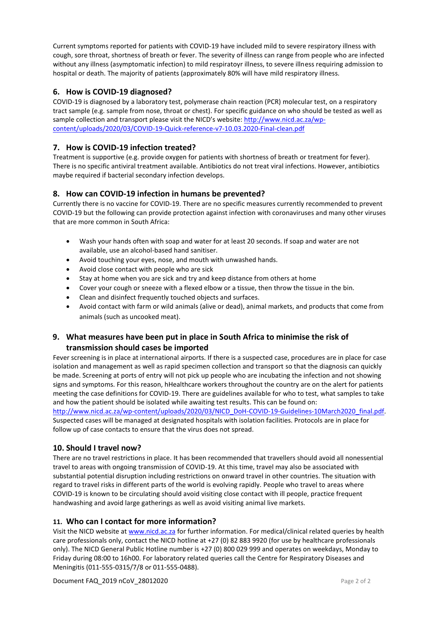Current symptoms reported for patients with COVID-19 have included mild to severe respiratory illness with cough, sore throat, shortness of breath or fever. The severity of illness can range from people who are infected without any illness (asymptomatic infection) to mild respiratoyr illness, to severe illness requiring admission to hospital or death. The majority of patients (approximately 80% will have mild respiratory illness.

## **6. How is COVID-19 diagnosed?**

COVID-19 is diagnosed by a laboratory test, polymerase chain reaction (PCR) molecular test, on a respiratory tract sample (e.g. sample from nose, throat or chest). For specific guidance on who should be tested as well as sample collection and transport please visit the NICD's website: [http://www.nicd.ac.za/wp](http://www.nicd.ac.za/wp-content/uploads/2020/03/COVID-19-Quick-reference-v7-10.03.2020-Final-clean.pdf)[content/uploads/2020/03/COVID-19-Quick-reference-v7-10.03.2020-Final-clean.pdf](http://www.nicd.ac.za/wp-content/uploads/2020/03/COVID-19-Quick-reference-v7-10.03.2020-Final-clean.pdf)

# **7. How is COVID-19 infection treated?**

Treatment is supportive (e.g. provide oxygen for patients with shortness of breath or treatment for fever). There is no specific antiviral treatment available. Antibiotics do not treat viral infections. However, antibiotics maybe required if bacterial secondary infection develops.

## **8. How can COVID-19 infection in humans be prevented?**

Currently there is no vaccine for COVID-19. There are no specific measures currently recommended to prevent COVID-19 but the following can provide protection against infection with coronaviruses and many other viruses that are more common in South Africa:

- Wash your hands often with soap and water for at least 20 seconds. If soap and water are not available, use an alcohol-based hand sanitiser.
- Avoid touching your eyes, nose, and mouth with unwashed hands.
- Avoid close contact with people who are sick
- Stay at home when you are sick and try and keep distance from others at home
- Cover your cough or sneeze with a flexed elbow or a tissue, then throw the tissue in the bin.
- Clean and disinfect frequently touched objects and surfaces.
- Avoid contact with farm or wild animals (alive or dead), animal markets, and products that come from animals (such as uncooked meat).

# **9. What measures have been put in place in South Africa to minimise the risk of transmission should cases be imported**

Fever screening is in place at international airports. If there is a suspected case, procedures are in place for case isolation and management as well as rapid specimen collection and transport so that the diagnosis can quickly be made. Screening at ports of entry will not pick up people who are incubating the infection and not showing signs and symptoms. For this reason, hHealthcare workers throughout the country are on the alert for patients meeting the case definitions for COVID-19. There are guidelines available for who to test, what samples to take and how the patient should be isolated while awaiting test results. This can be found on:

[http://www.nicd.ac.za/wp-content/uploads/2020/03/NICD\\_DoH-COVID-19-Guidelines-10March2020\\_final.pdf.](http://www.nicd.ac.za/wp-content/uploads/2020/03/NICD_DoH-COVID-19-Guidelines-10March2020_final.pdf) Suspected cases will be managed at designated hospitals with isolation facilities. Protocols are in place for follow up of case contacts to ensure that the virus does not spread.

# **10. Should I travel now?**

There are no travel restrictions in place. It has been recommended that travellers should avoid all nonessential travel to areas with ongoing transmission of COVID-19. At this time, travel may also be associated with substantial potential disruption including restrictions on onward travel in other countries. The situation with regard to travel risks in different parts of the world is evolving rapidly. People who travel to areas where COVID-19 is known to be circulating should avoid visiting close contact with ill people, practice frequent handwashing and avoid large gatherings as well as avoid visiting animal live markets.

### **11. Who can I contact for more information?**

Visit the NICD website at [www.nicd.ac.za](http://www.nicd.ac.za/) for further information. For medical/clinical related queries by health care professionals only, contact the NICD hotline at +27 (0) 82 883 9920 (for use by healthcare professionals only). The NICD General Public Hotline number is +27 (0) 800 029 999 and operates on weekdays, Monday to Friday during 08:00 to 16h00. For laboratory related queries call the Centre for Respiratory Diseases and Meningitis (011-555-0315/7/8 or 011-555-0488).